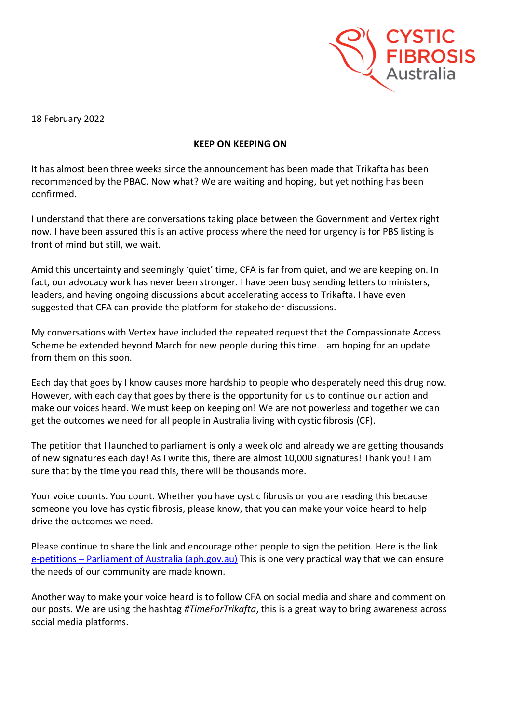

18 February 2022

## **KEEP ON KEEPING ON**

It has almost been three weeks since the announcement has been made that Trikafta has been recommended by the PBAC. Now what? We are waiting and hoping, but yet nothing has been confirmed.

I understand that there are conversations taking place between the Government and Vertex right now. I have been assured this is an active process where the need for urgency is for PBS listing is front of mind but still, we wait.

Amid this uncertainty and seemingly 'quiet' time, CFA is far from quiet, and we are keeping on. In fact, our advocacy work has never been stronger. I have been busy sending letters to ministers, leaders, and having ongoing discussions about accelerating access to Trikafta. I have even suggested that CFA can provide the platform for stakeholder discussions.

My conversations with Vertex have included the repeated request that the Compassionate Access Scheme be extended beyond March for new people during this time. I am hoping for an update from them on this soon.

Each day that goes by I know causes more hardship to people who desperately need this drug now. However, with each day that goes by there is the opportunity for us to continue our action and make our voices heard. We must keep on keeping on! We are not powerless and together we can get the outcomes we need for all people in Australia living with cystic fibrosis (CF).

The petition that I launched to parliament is only a week old and already we are getting thousands of new signatures each day! As I write this, there are almost 10,000 signatures! Thank you! I am sure that by the time you read this, there will be thousands more.

Your voice counts. You count. Whether you have cystic fibrosis or you are reading this because someone you love has cystic fibrosis, please know, that you can make your voice heard to help drive the outcomes we need.

Please continue to share the link and encourage other people to sign the petition. Here is the link e-petitions – [Parliament of Australia \(aph.gov.au\)](https://www.aph.gov.au/e-petitions/petition/EN3915) This is one very practical way that we can ensure the needs of our community are made known.

Another way to make your voice heard is to follow CFA on social media and share and comment on our posts. We are using the hashtag *#TimeForTrikafta*, this is a great way to bring awareness across social media platforms.